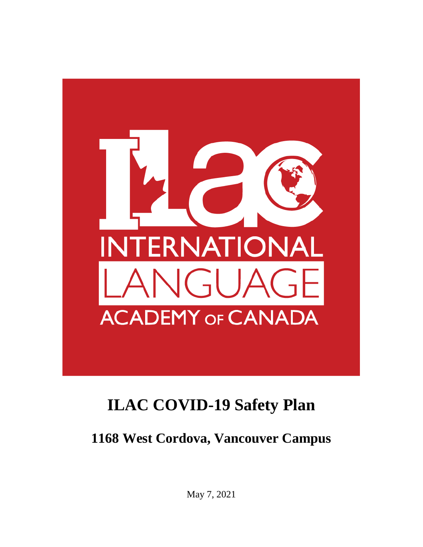

**1168 West Cordova, Vancouver Campus**

May 7, 2021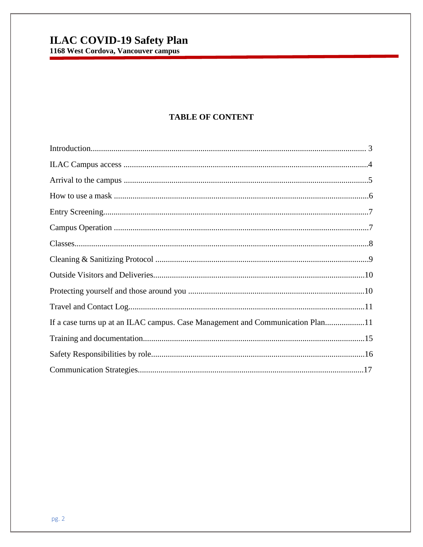#### **TABLE OF CONTENT**

| If a case turns up at an ILAC campus. Case Management and Communication Plan11 |
|--------------------------------------------------------------------------------|
|                                                                                |
|                                                                                |
|                                                                                |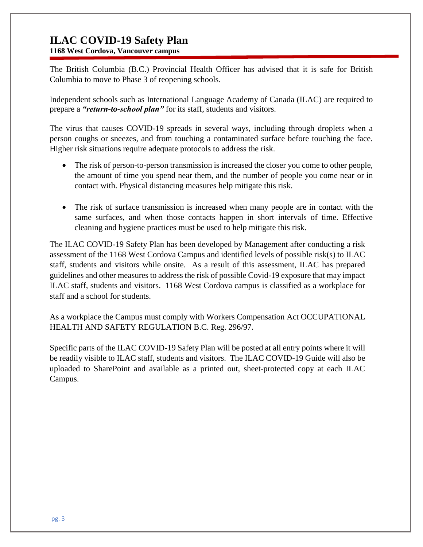**1168 West Cordova, Vancouver campus**

The British Columbia (B.C.) Provincial Health Officer has advised that it is safe for British Columbia to move to Phase 3 of reopening schools.

Independent schools such as International Language Academy of Canada (ILAC) are required to prepare a *"return-to-school plan"* for its staff, students and visitors.

The virus that causes COVID-19 spreads in several ways, including through droplets when a person coughs or sneezes, and from touching a contaminated surface before touching the face. Higher risk situations require adequate protocols to address the risk.

- The risk of person-to-person transmission is increased the closer you come to other people, the amount of time you spend near them, and the number of people you come near or in contact with. Physical distancing measures help mitigate this risk.
- The risk of surface transmission is increased when many people are in contact with the same surfaces, and when those contacts happen in short intervals of time. Effective cleaning and hygiene practices must be used to help mitigate this risk.

The ILAC COVID-19 Safety Plan has been developed by Management after conducting a risk assessment of the 1168 West Cordova Campus and identified levels of possible risk(s) to ILAC staff, students and visitors while onsite. As a result of this assessment, ILAC has prepared guidelines and other measures to address the risk of possible Covid-19 exposure that may impact ILAC staff, students and visitors. 1168 West Cordova campus is classified as a workplace for staff and a school for students.

As a workplace the Campus must comply with Workers Compensation Act OCCUPATIONAL HEALTH AND SAFETY REGULATION B.C. Reg. 296/97.

Specific parts of the ILAC COVID-19 Safety Plan will be posted at all entry points where it will be readily visible to ILAC staff, students and visitors. The ILAC COVID-19 Guide will also be uploaded to SharePoint and available as a printed out, sheet-protected copy at each ILAC Campus.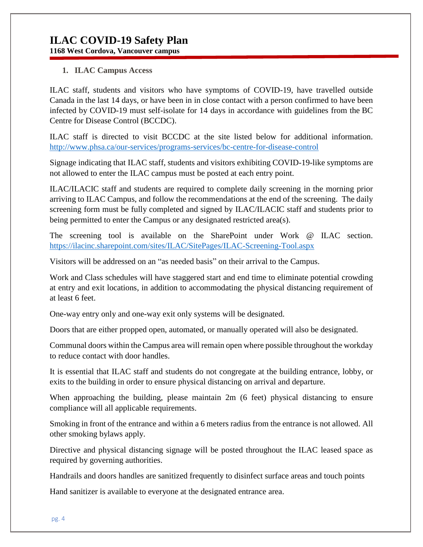**1168 West Cordova, Vancouver campus**

#### **1. ILAC Campus Access**

ILAC staff, students and visitors who have symptoms of COVID-19, have travelled outside Canada in the last 14 days, or have been in in close contact with a person confirmed to have been infected by COVID-19 must self-isolate for 14 days in accordance with guidelines from the [BC](http://www.bccdc.ca/health-info/diseases-conditions/covid-19/about-covid-19/if-you-are-sick)  [Centre for Disease Control](http://www.bccdc.ca/health-info/diseases-conditions/covid-19/about-covid-19/if-you-are-sick) (BCCDC).

ILAC staff is directed to visit BCCDC at the site listed below for additional information. <http://www.phsa.ca/our-services/programs-services/bc-centre-for-disease-control>

Signage indicating that ILAC staff, students and visitors exhibiting COVID-19-like symptoms are not allowed to enter the ILAC campus must be posted at each entry point.

ILAC/ILACIC staff and students are required to complete daily screening in the morning prior arriving to ILAC Campus, and follow the recommendations at the end of the screening. The daily screening form must be fully completed and signed by ILAC/ILACIC staff and students prior to being permitted to enter the Campus or any designated restricted area(s).

The screening tool is available on the SharePoint under Work @ ILAC section. <https://ilacinc.sharepoint.com/sites/ILAC/SitePages/ILAC-Screening-Tool.aspx>

Visitors will be addressed on an "as needed basis" on their arrival to the Campus.

Work and Class schedules will have staggered start and end time to eliminate potential crowding at entry and exit locations, in addition to accommodating the physical distancing requirement of at least 6 feet.

One-way entry only and one-way exit only systems will be designated.

Doors that are either propped open, automated, or manually operated will also be designated.

Communal doors within the Campus area will remain open where possible throughout the workday to reduce contact with door handles.

It is essential that ILAC staff and students do not congregate at the building entrance, lobby, or exits to the building in order to ensure physical distancing on arrival and departure.

When approaching the building, please maintain 2m (6 feet) physical distancing to ensure compliance will all applicable requirements.

Smoking in front of the entrance and within a 6 meters radius from the entrance is not allowed. All other smoking bylaws apply.

Directive and physical distancing signage will be posted throughout the ILAC leased space as required by governing authorities.

Handrails and doors handles are sanitized frequently to disinfect surface areas and touch points

Hand sanitizer is available to everyone at the designated entrance area.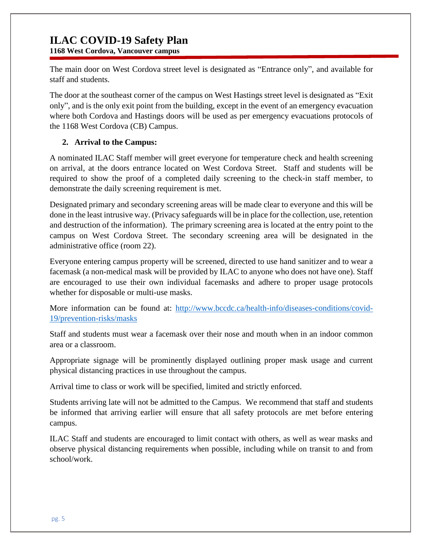**1168 West Cordova, Vancouver campus**

The main door on West Cordova street level is designated as "Entrance only", and available for staff and students.

The door at the southeast corner of the campus on West Hastings street level is designated as "Exit only", and is the only exit point from the building, except in the event of an emergency evacuation where both Cordova and Hastings doors will be used as per emergency evacuations protocols of the 1168 West Cordova (CB) Campus.

#### **2. Arrival to the Campus:**

A nominated ILAC Staff member will greet everyone for temperature check and health screening on arrival, at the doors entrance located on West Cordova Street. Staff and students will be required to show the proof of a completed daily screening to the check-in staff member, to demonstrate the daily screening requirement is met.

Designated primary and secondary screening areas will be made clear to everyone and this will be done in the least intrusive way. (Privacy safeguards will be in place for the collection, use, retention and destruction of the information). The primary screening area is located at the entry point to the campus on West Cordova Street. The secondary screening area will be designated in the administrative office (room 22).

Everyone entering campus property will be screened, directed to use hand sanitizer and to wear a facemask (a non-medical mask will be provided by ILAC to anyone who does not have one). Staff are encouraged to use their own individual facemasks and adhere to proper usage protocols whether for disposable or multi-use masks.

More information can be found at: [http://www.bccdc.ca/health-info/diseases-conditions/covid-](http://www.bccdc.ca/health-info/diseases-conditions/covid-19/prevention-risks/masks)[19/prevention-risks/masks](http://www.bccdc.ca/health-info/diseases-conditions/covid-19/prevention-risks/masks)

Staff and students must wear a facemask over their nose and mouth when in an indoor common area or a classroom.

Appropriate signage will be prominently displayed outlining proper mask usage and current physical distancing practices in use throughout the campus.

Arrival time to class or work will be specified, limited and strictly enforced.

Students arriving late will not be admitted to the Campus. We recommend that staff and students be informed that arriving earlier will ensure that all safety protocols are met before entering campus.

ILAC Staff and students are encouraged to limit contact with others, as well as wear masks and observe physical distancing requirements when possible, including while on transit to and from school/work.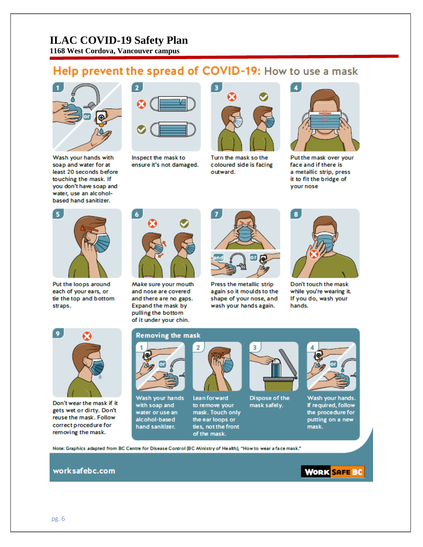**1168 West Cordova, Vancouver campus**

# Help prevent the spread of COVID-19: How to use a mask



Wash your hands with soap and water for at least 20 seconds before touching the mask. If you don't have soap and water, use an alcoholbased hand sanitizer.



Inspect the mask to ensure it's not damaged.



Turn the mask so the coloured side is facing outward.



Put the mask over your face and if there is a metallic strip, press it to fit the bridge of your nose



Put the loops around each of your ears, or tie the top and bottom straps.



Make sure your mouth and nose are covered and there are no gaps. Expand the mask by pulling the bottom of it under your chin.



Press the metallic strip again so it moulds to the shape of your nose, and wash your hands again.



Don't touch the mask while you're wearing it. If you do, wash your hands.



Don't wear the mask if it gets wet or dirty. Don't reuse the mask. Follow correct procedure for removing the mask.

#### **Removing the mask**



Wash your hands with soap and water or use an alcohol-based hand sanitizer.



**Lean forward** to remove your mask. Touch only the ear loops or ties, not the front of the mask.



Dispose of the mask safely.



Wash your hands. If required, follow the procedure for putting on a new mask.

Note: Graphics adapted from BC Centre for Disease Control (BC Ministry of Health), "How to wear a face mask."

#### worksafebc.com

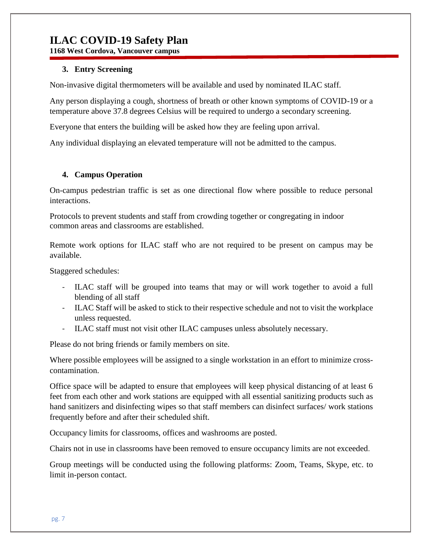**1168 West Cordova, Vancouver campus**

#### **3. Entry Screening**

Non-invasive digital thermometers will be available and used by nominated ILAC staff.

Any person displaying a cough, shortness of breath or other known symptoms of COVID-19 or a temperature above 37.8 degrees Celsius will be required to undergo a secondary screening.

Everyone that enters the building will be asked how they are feeling upon arrival.

Any individual displaying an elevated temperature will not be admitted to the campus.

#### **4. Campus Operation**

On-campus pedestrian traffic is set as one directional flow where possible to reduce personal interactions.

Protocols to prevent students and staff from crowding together or congregating in indoor common areas and classrooms are established.

Remote work options for ILAC staff who are not required to be present on campus may be available.

Staggered schedules:

- ILAC staff will be grouped into teams that may or will work together to avoid a full blending of all staff
- ILAC Staff will be asked to stick to their respective schedule and not to visit the workplace unless requested.
- ILAC staff must not visit other ILAC campuses unless absolutely necessary.

Please do not bring friends or family members on site.

Where possible employees will be assigned to a single workstation in an effort to minimize crosscontamination.

Office space will be adapted to ensure that employees will keep physical distancing of at least 6 feet from each other and work stations are equipped with all essential sanitizing products such as hand sanitizers and disinfecting wipes so that staff members can disinfect surfaces/ work stations frequently before and after their scheduled shift.

[Occupancy limits](https://www.worksafebc.com/en/resources/health-safety/posters/help-prevent-spread-covid-19-occupancy-limit?lang=en) for classrooms, offices and washrooms are posted.

Chairs not in use in classrooms have been removed to ensure occupancy limits are not exceeded.

Group meetings will be conducted using the following platforms: Zoom, Teams, Skype, etc. to limit in-person contact.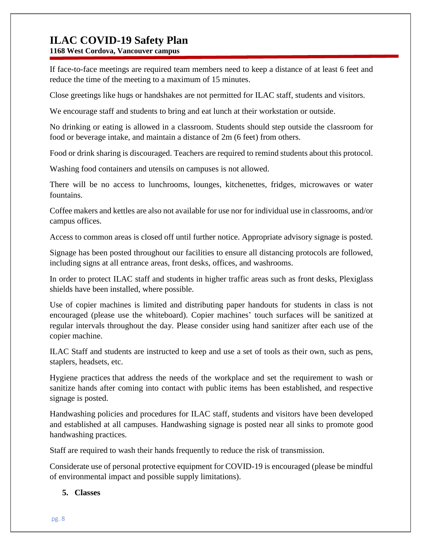**1168 West Cordova, Vancouver campus**

If face-to-face meetings are required team members need to keep a distance of at least 6 feet and reduce the time of the meeting to a maximum of 15 minutes.

Close greetings like hugs or handshakes are not permitted for ILAC staff, students and visitors.

We encourage staff and students to bring and eat lunch at their workstation or outside.

No drinking or eating is allowed in a classroom. Students should step outside the classroom for food or beverage intake, and maintain a distance of 2m (6 feet) from others.

Food or drink sharing is discouraged. Teachers are required to remind students about this protocol.

Washing food containers and utensils on campuses is not allowed.

There will be no access to lunchrooms, lounges, kitchenettes, fridges, microwaves or water fountains.

Coffee makers and kettles are also not available for use nor for individual use in classrooms, and/or campus offices.

Access to common areas is closed off until further notice. Appropriate advisory signage is posted.

Signage has been posted throughout our facilities to ensure all distancing protocols are followed, including signs at all entrance areas, front desks, offices, and washrooms.

In order to protect ILAC staff and students in higher traffic areas such as front desks, Plexiglass shields have been installed, where possible.

Use of copier machines is limited and distributing paper handouts for students in class is not encouraged (please use the whiteboard). Copier machines' touch surfaces will be sanitized at regular intervals throughout the day. Please consider using hand sanitizer after each use of the copier machine.

ILAC Staff and students are instructed to keep and use a set of tools as their own, such as pens, staplers, headsets, etc.

[Hygiene practices](https://www.worksafebc.com/en/resources/health-safety/posters/help-prevent-spread-covid-19-handwashing?lang=en) that address the needs of the workplace and set the requirement to wash or sanitize hands after coming into contact with public items has been established, and respective signage is posted.

Handwashing policies and procedures for ILAC staff, students and visitors have been developed and established at all campuses. [Handwashing signage](https://www.worksafebc.com/en/resources/health-safety/posters/help-prevent-spread-covid-19-handwashing?lang=en) is posted near all sinks to promote good handwashing practices.

Staff are required to wash their hands frequently to reduce the risk of transmission.

Considerate use of personal protective equipment for COVID-19 is encouraged (please be mindful of environmental impact and possible supply limitations).

#### **5. Classes**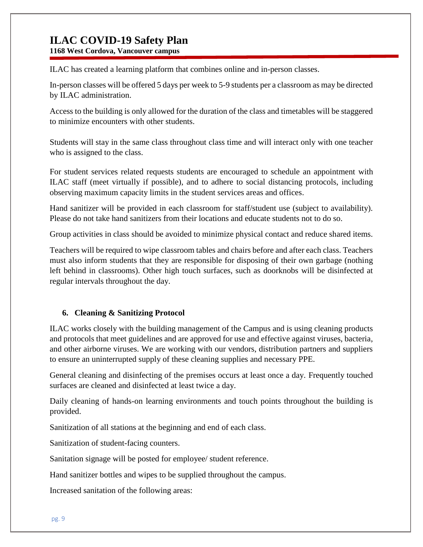**1168 West Cordova, Vancouver campus**

ILAC has created a learning platform that combines online and in-person classes.

In-person classes will be offered 5 days per week to 5-9 students per a classroom as may be directed by ILAC administration.

Access to the building is only allowed for the duration of the class and timetables will be staggered to minimize encounters with other students.

Students will stay in the same class throughout class time and will interact only with one teacher who is assigned to the class.

For student services related requests students are encouraged to schedule an appointment with ILAC staff (meet virtually if possible), and to adhere to social distancing protocols, including observing maximum capacity limits in the student services areas and offices.

Hand sanitizer will be provided in each classroom for staff/student use (subject to availability). Please do not take hand sanitizers from their locations and educate students not to do so.

Group activities in class should be avoided to minimize physical contact and reduce shared items.

Teachers will be required to wipe classroom tables and chairs before and after each class. Teachers must also inform students that they are responsible for disposing of their own garbage (nothing left behind in classrooms). Other high touch surfaces, such as doorknobs will be disinfected at regular intervals throughout the day.

#### **6. Cleaning & Sanitizing Protocol**

ILAC works closely with the building management of the Campus and is using cleaning products and protocols that meet guidelines and are approved for use and effective against viruses, bacteria, and other airborne viruses. We are working with our vendors, distribution partners and suppliers to ensure an uninterrupted supply of these cleaning supplies and necessary PPE.

General cleaning and disinfecting of the premises occurs at least once a day. Frequently touched surfaces are cleaned and disinfected at least twice a day.

Daily cleaning of hands-on learning environments and touch points throughout the building is provided.

Sanitization of all stations at the beginning and end of each class.

Sanitization of student-facing counters.

Sanitation signage will be posted for employee/ student reference.

Hand sanitizer bottles and wipes to be supplied throughout the campus.

Increased sanitation of the following areas: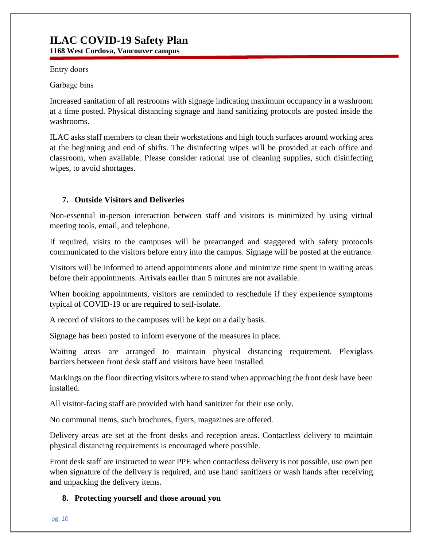**1168 West Cordova, Vancouver campus**

Entry doors 

Garbage bins 

Increased sanitation of all restrooms with signage indicating maximum occupancy in a washroom at a time posted. Physical distancing signage and hand sanitizing protocols are posted inside the washrooms.

ILAC asks staff members to clean their workstations and high touch surfaces around working area at the beginning and end of shifts. The disinfecting wipes will be provided at each office and classroom, when available. Please consider rational use of cleaning supplies, such disinfecting wipes, to avoid shortages.

#### **7. Outside Visitors and Deliveries**

Non-essential in-person interaction between staff and visitors is minimized by using virtual meeting tools, email, and telephone.

If required, visits to the campuses will be prearranged and staggered with safety protocols communicated to the visitors before entry into the campus. Signage will be posted at the entrance.

Visitors will be informed to attend appointments alone and minimize time spent in waiting areas before their appointments. Arrivals earlier than 5 minutes are not available.

When booking appointments, visitors are reminded to reschedule if they experience symptoms typical of COVID-19 or are required to self-isolate.

A record of visitors to the campuses will be kept on a daily basis.

Signage has been posted to inform everyone of the measures in place.

Waiting areas are arranged to maintain physical distancing requirement. Plexiglass barriers between front desk staff and visitors have been installed.

Markings on the floor directing visitors where to stand when approaching the front desk have been installed.

All visitor-facing staff are provided with hand sanitizer for their use only.

No communal items, such brochures, flyers, magazines are offered.

Delivery areas are set at the front desks and reception areas. Contactless delivery to maintain physical distancing requirements is encouraged where possible.

Front desk staff are instructed to wear PPE when contactless delivery is not possible, use own pen when signature of the delivery is required, and use hand sanitizers or wash hands after receiving and unpacking the delivery items.

#### **8. Protecting yourself and those around you**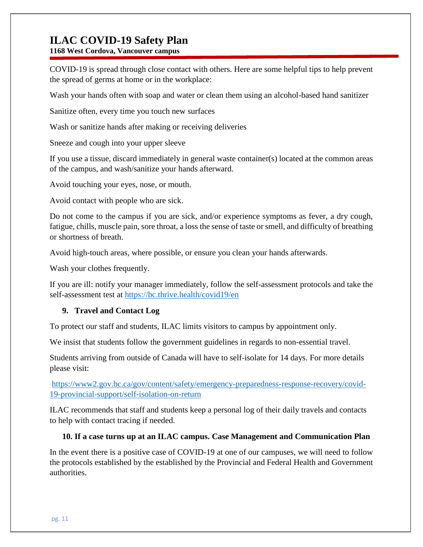**1168 West Cordova, Vancouver campus**

COVID-19 is spread through close contact with others. Here are some helpful tips to help prevent the spread of germs at home or in the workplace:

Wash your hands often with soap and water or clean them using an alcohol-based hand sanitizer

Sanitize often, every time you touch new surfaces

Wash or sanitize hands after making or receiving deliveries

Sneeze and cough into your upper sleeve

If you use a tissue, discard immediately in general waste container(s) located at the common areas of the campus, and wash/sanitize your hands afterward.

Avoid touching your eyes, nose, or mouth.

Avoid contact with people who are sick.

Do not come to the campus if you are sick, and/or experience symptoms as fever, a dry cough, fatigue, chills, muscle pain, sore throat, a loss the sense of taste or smell, and difficulty of breathing or shortness of breath.

Avoid high-touch areas, where possible, or ensure you clean your hands afterwards.

Wash your clothes frequently.

If you are ill: notify your manager immediately, follow the self-assessment protocols and take the self-assessment test at <https://bc.thrive.health/covid19/en>

#### **9. Travel and Contact Log**

To protect our staff and students, ILAC limits visitors to campus by appointment only.

We insist that students follow the government guidelines in regards to non-essential travel.

Students arriving from outside of Canada will have to self-isolate for 14 days. For more details please visit:

[https://www2.gov.bc.ca/gov/content/safety/emergency-preparedness-response-recovery/covid-](https://www2.gov.bc.ca/gov/content/safety/emergency-preparedness-response-recovery/covid-19-provincial-support/self-isolation-on-return)[19-provincial-support/self-isolation-on-return](https://www2.gov.bc.ca/gov/content/safety/emergency-preparedness-response-recovery/covid-19-provincial-support/self-isolation-on-return)

ILAC recommends that staff and students keep a personal log of their daily travels and contacts to help with contact tracing if needed.

#### **10. If a case turns up at an ILAC campus. Case Management and Communication Plan**

In the event there is a positive case of COVID-19 at one of our campuses, we will need to follow the protocols established by the established by the Provincial and Federal Health and Government authorities.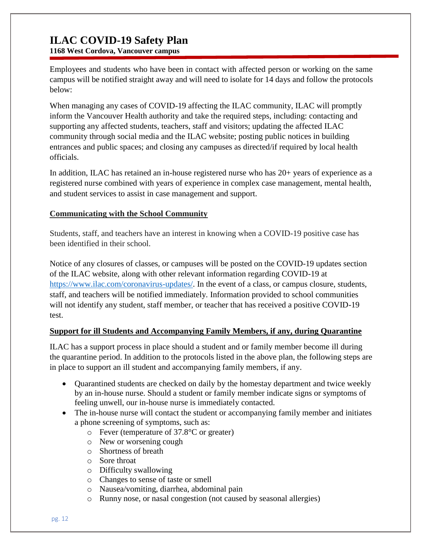**1168 West Cordova, Vancouver campus**

Employees and students who have been in contact with affected person or working on the same campus will be notified straight away and will need to isolate for 14 days and follow the protocols below:

When managing any cases of COVID-19 affecting the ILAC community, ILAC will promptly inform the Vancouver Health authority and take the required steps, including: contacting and supporting any affected students, teachers, staff and visitors; updating the affected ILAC community through social media and the ILAC website; posting public notices in building entrances and public spaces; and closing any campuses as directed/if required by local health officials.

In addition, ILAC has retained an in-house registered nurse who has 20+ years of experience as a registered nurse combined with years of experience in complex case management, mental health, and student services to assist in case management and support.

#### **Communicating with the School Community**

Students, staff, and teachers have an interest in knowing when a COVID-19 positive case has been identified in their school.

Notice of any closures of classes, or campuses will be posted on the COVID-19 updates section of the ILAC website, along with other relevant information regarding COVID-19 at [https://www.ilac.com/coronavirus-updates/.](https://www.ilac.com/coronavirus-updates/) In the event of a class, or campus closure, students, staff, and teachers will be notified immediately. Information provided to school communities will not identify any student, staff member, or teacher that has received a positive COVID-19 test.

#### **Support for ill Students and Accompanying Family Members, if any, during Quarantine**

ILAC has a support process in place should a student and or family member become ill during the quarantine period. In addition to the protocols listed in the above plan, the following steps are in place to support an ill student and accompanying family members, if any.

- Quarantined students are checked on daily by the homestay department and twice weekly by an in-house nurse. Should a student or family member indicate signs or symptoms of feeling unwell, our in-house nurse is immediately contacted.
- The in-house nurse will contact the student or accompanying family member and initiates a phone screening of symptoms, such as:
	- o Fever (temperature of 37.8°C or greater)
	- o New or worsening cough
	- o Shortness of breath
	- o Sore throat
	- o Difficulty swallowing
	- o Changes to sense of taste or smell
	- o Nausea/vomiting, diarrhea, abdominal pain
	- o Runny nose, or nasal congestion (not caused by seasonal allergies)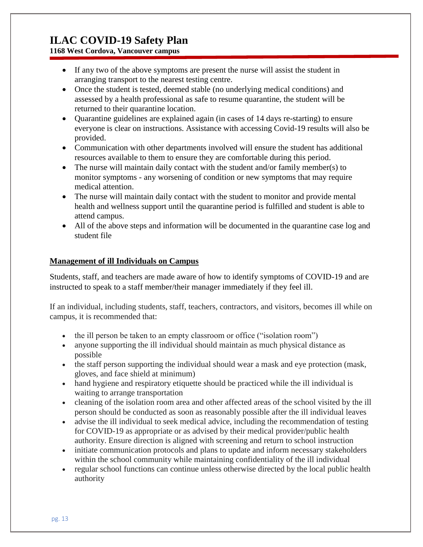**1168 West Cordova, Vancouver campus**

- If any two of the above symptoms are present the nurse will assist the student in arranging transport to the nearest testing centre.
- Once the student is tested, deemed stable (no underlying medical conditions) and assessed by a health professional as safe to resume quarantine, the student will be returned to their quarantine location.
- Quarantine guidelines are explained again (in cases of 14 days re-starting) to ensure everyone is clear on instructions. Assistance with accessing Covid-19 results will also be provided.
- Communication with other departments involved will ensure the student has additional resources available to them to ensure they are comfortable during this period.
- The nurse will maintain daily contact with the student and/or family member(s) to monitor symptoms - any worsening of condition or new symptoms that may require medical attention.
- The nurse will maintain daily contact with the student to monitor and provide mental health and wellness support until the quarantine period is fulfilled and student is able to attend campus.
- All of the above steps and information will be documented in the quarantine case log and student file

#### **Management of ill Individuals on Campus**

Students, staff, and teachers are made aware of how to identify symptoms of COVID-19 and are instructed to speak to a staff member/their manager immediately if they feel ill.

If an individual, including students, staff, teachers, contractors, and visitors, becomes ill while on campus, it is recommended that:

- the ill person be taken to an empty classroom or office ("isolation room")
- anyone supporting the ill individual should maintain as much physical distance as possible
- the staff person supporting the individual should wear a mask and eye protection (mask, gloves, and face shield at minimum)
- hand hygiene and respiratory etiquette should be practiced while the ill individual is waiting to arrange transportation
- cleaning of the isolation room area and other affected areas of the school visited by the ill person should be conducted as soon as reasonably possible after the ill individual leaves
- advise the ill individual to seek medical advice, including the recommendation of testing for COVID-19 as appropriate or as advised by their medical provider/public health authority. Ensure direction is aligned with screening and return to school instruction
- $\bullet$  initiate communication protocols and plans to update and inform necessary stakeholders within the school community while maintaining confidentiality of the ill individual
- regular school functions can continue unless otherwise directed by the local public health authority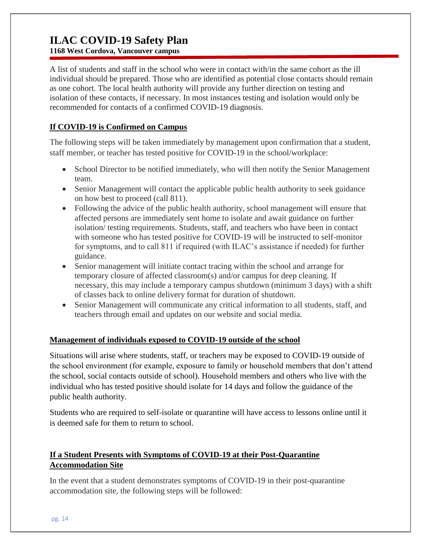**1168 West Cordova, Vancouver campus**

A list of students and staff in the school who were in contact with/in the same cohort as the ill individual should be prepared. Those who are identified as potential close contacts should remain as one cohort. The local health authority will provide any further direction on testing and isolation of these contacts, if necessary. In most instances testing and isolation would only be recommended for contacts of a confirmed COVID-19 diagnosis.

#### **If COVID-19 is Confirmed on Campus**

The following steps will be taken immediately by management upon confirmation that a student, staff member, or teacher has tested positive for COVID-19 in the school/workplace:

- School Director to be notified immediately, who will then notify the Senior Management team.
- Senior Management will contact the applicable public health authority to seek guidance on how best to proceed (call 811).
- Following the advice of the public health authority, school management will ensure that affected persons are immediately sent home to isolate and await guidance on further isolation/ testing requirements. Students, staff, and teachers who have been in contact with someone who has tested positive for COVID-19 will be instructed to self-monitor for symptoms, and to call 811 if required (with ILAC's assistance if needed) for further guidance.
- Senior management will initiate contact tracing within the school and arrange for temporary closure of affected classroom(s) and/or campus for deep cleaning. If necessary, this may include a temporary campus shutdown (minimum 3 days) with a shift of classes back to online delivery format for duration of shutdown.
- Senior Management will communicate any critical information to all students, staff, and teachers through email and updates on our website and social media.

#### **Management of individuals exposed to COVID-19 outside of the school**

Situations will arise where students, staff, or teachers may be exposed to COVID-19 outside of the school environment (for example, exposure to family or household members that don't attend the school, social contacts outside of school). Household members and others who live with the individual who has tested positive should isolate for 14 days and follow the guidance of the public health authority.

Students who are required to self-isolate or quarantine will have access to lessons online until it is deemed safe for them to return to school.

#### **If a Student Presents with Symptoms of COVID-19 at their Post-Quarantine Accommodation Site**

In the event that a student demonstrates symptoms of COVID-19 in their post-quarantine accommodation site, the following steps will be followed: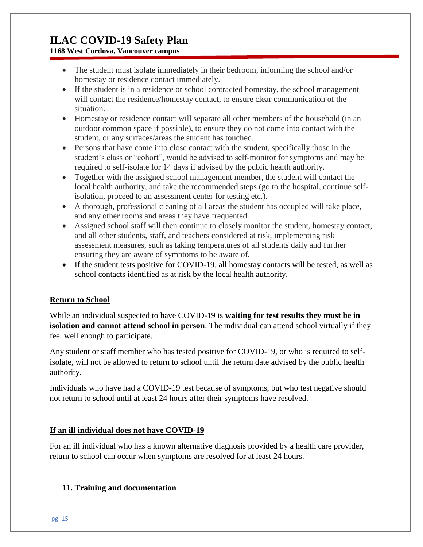### **1168 West Cordova, Vancouver campus**

- The student must isolate immediately in their bedroom, informing the school and/or homestay or residence contact immediately.
- If the student is in a residence or school contracted homestay, the school management will contact the residence/homestay contact, to ensure clear communication of the situation.
- Homestay or residence contact will separate all other members of the household (in an outdoor common space if possible), to ensure they do not come into contact with the student, or any surfaces/areas the student has touched.
- Persons that have come into close contact with the student, specifically those in the student's class or "cohort", would be advised to self-monitor for symptoms and may be required to self-isolate for 14 days if advised by the public health authority.
- Together with the assigned school management member, the student will contact the local health authority, and take the recommended steps (go to the hospital, continue selfisolation, proceed to an assessment center for testing etc.).
- A thorough, professional cleaning of all areas the student has occupied will take place, and any other rooms and areas they have frequented.
- Assigned school staff will then continue to closely monitor the student, homestay contact, and all other students, staff, and teachers considered at risk, implementing risk assessment measures, such as taking temperatures of all students daily and further ensuring they are aware of symptoms to be aware of.
- If the student tests positive for COVID-19, all homestay contacts will be tested, as well as school contacts identified as at risk by the local health authority.

#### **Return to School**

While an individual suspected to have COVID-19 is **waiting for test results they must be in isolation and cannot attend school in person**. The individual can attend school virtually if they feel well enough to participate.

Any student or staff member who has tested positive for COVID-19, or who is required to selfisolate, will not be allowed to return to school until the return date advised by the public health authority.

Individuals who have had a COVID-19 test because of symptoms, but who test negative should not return to school until at least 24 hours after their symptoms have resolved.

#### **If an ill individual does not have COVID-19**

For an ill individual who has a known alternative diagnosis provided by a health care provider, return to school can occur when symptoms are resolved for at least 24 hours.

#### **11. Training and documentation**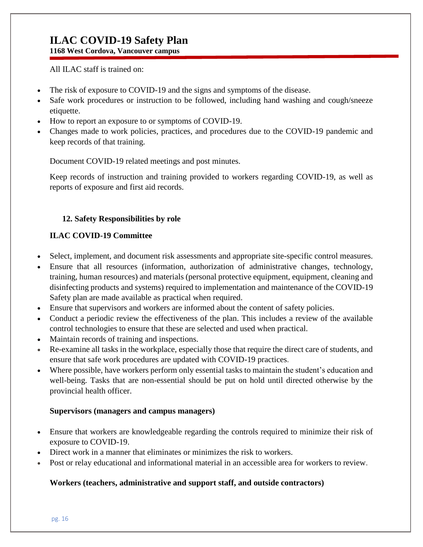**1168 West Cordova, Vancouver campus**

All ILAC staff is trained on:

- The risk of exposure to COVID-19 and the signs and symptoms of the disease.
- Safe work procedures or instruction to be followed, including hand washing and cough/sneeze etiquette.
- How to report an exposure to or symptoms of COVID-19.
- Changes made to work policies, practices, and procedures due to the COVID-19 pandemic and keep records of that training.

Document COVID-19 related meetings and post minutes.

Keep records of instruction and training provided to workers regarding COVID-19, as well as reports of exposure and first aid records.

#### **12. Safety Responsibilities by role**

#### **ILAC COVID-19 Committee**

- Select, implement, and document risk assessments and appropriate site-specific control measures.
- Ensure that all resources (information, authorization of administrative changes, technology, training, human resources) and materials (personal protective equipment, equipment, cleaning and disinfecting products and systems) required to implementation and maintenance of the COVID-19 Safety plan are made available as practical when required.
- Ensure that supervisors and workers are informed about the content of safety policies.
- Conduct a periodic review the effectiveness of the plan. This includes a review of the available control technologies to ensure that these are selected and used when practical.
- Maintain records of training and inspections.
- Re-examine all tasks in the workplace, especially those that require the direct care of students, and ensure that safe work procedures are updated with COVID-19 practices.
- Where possible, have workers perform only essential tasks to maintain the student's education and well-being. Tasks that are non-essential should be put on hold until directed otherwise by the provincial health officer.

#### **Supervisors (managers and campus managers)**

- Ensure that workers are knowledgeable regarding the controls required to minimize their risk of exposure to COVID-19.
- Direct work in a manner that eliminates or minimizes the risk to workers.
- Post or relay educational and informational material in an accessible area for workers to review.

#### **Workers (teachers, administrative and support staff, and outside contractors)**